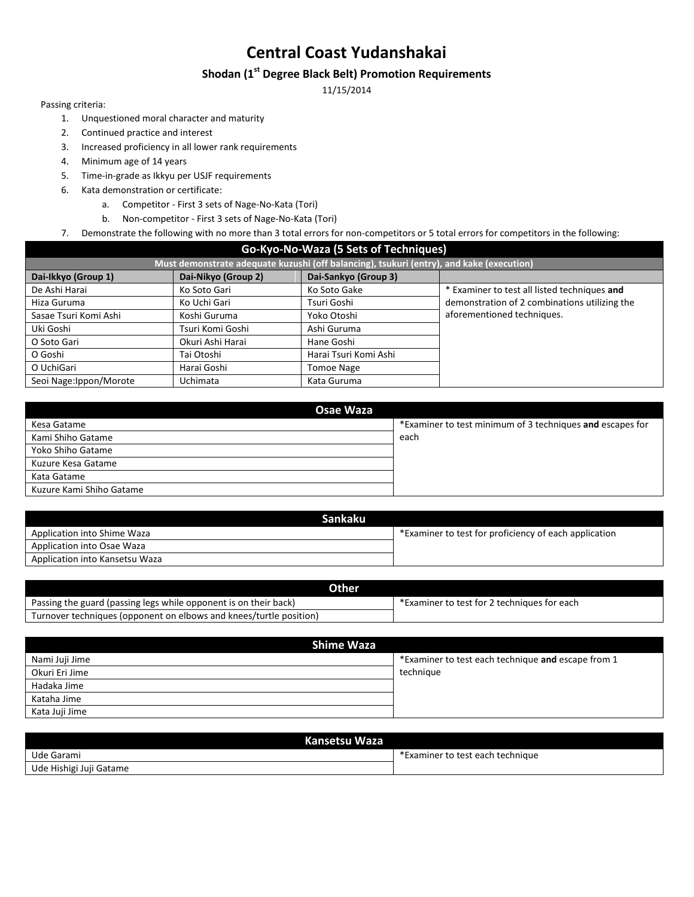### **Shodan (1st Degree Black Belt) Promotion Requirements**

11/15/2014

- 1. Unquestioned moral character and maturity
- 2. Continued practice and interest
- 3. Increased proficiency in all lower rank requirements
- 4. Minimum age of 14 years
- 5. Time-in-grade as Ikkyu per USJF requirements
- 6. Kata demonstration or certificate:
	- a. Competitor First 3 sets of Nage-No-Kata (Tori)
	- b. Non-competitor First 3 sets of Nage-No-Kata (Tori)
- 7. Demonstrate the following with no more than 3 total errors for non-competitors or 5 total errors for competitors in the following:

| Go-Kyo-No-Waza (5 Sets of Techniques)                                                    |                     |                       |                                               |  |
|------------------------------------------------------------------------------------------|---------------------|-----------------------|-----------------------------------------------|--|
| Must demonstrate adequate kuzushi (off balancing), tsukuri (entry), and kake (execution) |                     |                       |                                               |  |
| Dai-Ikkyo (Group 1)                                                                      | Dai-Nikyo (Group 2) | Dai-Sankyo (Group 3)  |                                               |  |
| De Ashi Harai                                                                            | Ko Soto Gari        | Ko Soto Gake          | * Examiner to test all listed techniques and  |  |
| Hiza Guruma                                                                              | Ko Uchi Gari        | Tsuri Goshi           | demonstration of 2 combinations utilizing the |  |
| Sasae Tsuri Komi Ashi                                                                    | Koshi Guruma        | Yoko Otoshi           | aforementioned techniques.                    |  |
| Uki Goshi                                                                                | Tsuri Komi Goshi    | Ashi Guruma           |                                               |  |
| O Soto Gari                                                                              | Okuri Ashi Harai    | Hane Goshi            |                                               |  |
| O Goshi                                                                                  | Tai Otoshi          | Harai Tsuri Komi Ashi |                                               |  |
| O UchiGari                                                                               | Harai Goshi         | <b>Tomoe Nage</b>     |                                               |  |
| Seoi Nage: Ippon/Morote                                                                  | <b>Uchimata</b>     | Kata Guruma           |                                               |  |

| Osae Waza                |                                                           |  |  |  |
|--------------------------|-----------------------------------------------------------|--|--|--|
| Kesa Gatame              | *Examiner to test minimum of 3 techniques and escapes for |  |  |  |
| Kami Shiho Gatame        | each                                                      |  |  |  |
| Yoko Shiho Gatame        |                                                           |  |  |  |
| Kuzure Kesa Gatame       |                                                           |  |  |  |
| Kata Gatame              |                                                           |  |  |  |
| Kuzure Kami Shiho Gatame |                                                           |  |  |  |

| <b>Sankaku</b>                 |                                                       |
|--------------------------------|-------------------------------------------------------|
| Application into Shime Waza    | *Examiner to test for proficiency of each application |
| Application into Osae Waza     |                                                       |
| Application into Kansetsu Waza |                                                       |

| <b>Other</b>                                                       |                                             |
|--------------------------------------------------------------------|---------------------------------------------|
| Passing the guard (passing legs while opponent is on their back)   | *Examiner to test for 2 techniques for each |
| Turnover techniques (opponent on elbows and knees/turtle position) |                                             |

| <b>Shime Waza</b> |                                                    |  |  |
|-------------------|----------------------------------------------------|--|--|
| Nami Juji Jime    | *Examiner to test each technique and escape from 1 |  |  |
| Okuri Eri Jime    | technique                                          |  |  |
| Hadaka Jime       |                                                    |  |  |
| Kataha Jime       |                                                    |  |  |
| Kata Juji Jime    |                                                    |  |  |

| Kansetsu Waza           |                                  |  |  |
|-------------------------|----------------------------------|--|--|
| Ude Garami              | *Examiner to test each technique |  |  |
| Ude Hishigi Juji Gatame |                                  |  |  |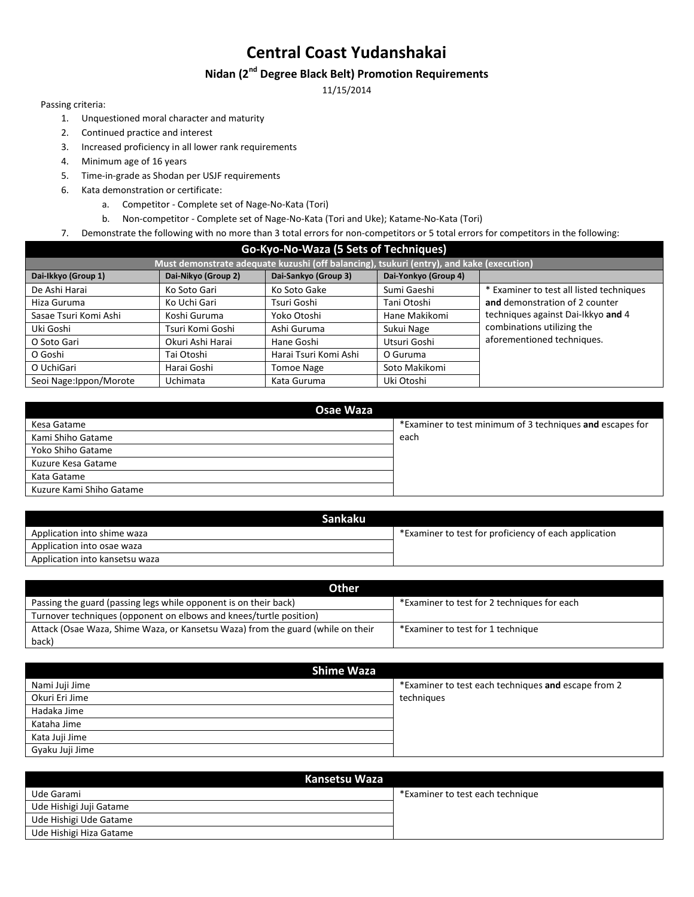# **Nidan (2nd Degree Black Belt) Promotion Requirements**

11/15/2014

- 1. Unquestioned moral character and maturity
- 2. Continued practice and interest
- 3. Increased proficiency in all lower rank requirements
- 4. Minimum age of 16 years
- 5. Time-in-grade as Shodan per USJF requirements
- 6. Kata demonstration or certificate:
	- a. Competitor Complete set of Nage-No-Kata (Tori)
	- b. Non-competitor Complete set of Nage-No-Kata (Tori and Uke); Katame-No-Kata (Tori)
- 7. Demonstrate the following with no more than 3 total errors for non-competitors or 5 total errors for competitors in the following:

| Go-Kyo-No-Waza (5 Sets of Techniques) |                     |                                                                                          |                      |                                          |
|---------------------------------------|---------------------|------------------------------------------------------------------------------------------|----------------------|------------------------------------------|
|                                       |                     | Must demonstrate adequate kuzushi (off balancing), tsukuri (entry), and kake (execution) |                      |                                          |
| Dai-Ikkyo (Group 1)                   | Dai-Nikyo (Group 2) | Dai-Sankyo (Group 3)                                                                     | Dai-Yonkyo (Group 4) |                                          |
| De Ashi Harai                         | Ko Soto Gari        | Ko Soto Gake                                                                             | Sumi Gaeshi          | * Examiner to test all listed techniques |
| Hiza Guruma                           | Ko Uchi Gari        | Tsuri Goshi                                                                              | Tani Otoshi          | and demonstration of 2 counter           |
| Sasae Tsuri Komi Ashi                 | Koshi Guruma        | Yoko Otoshi                                                                              | Hane Makikomi        | techniques against Dai-Ikkyo and 4       |
| Uki Goshi                             | Tsuri Komi Goshi    | Ashi Guruma                                                                              | Sukui Nage           | combinations utilizing the               |
| O Soto Gari                           | Okuri Ashi Harai    | Hane Goshi                                                                               | Utsuri Goshi         | aforementioned techniques.               |
| O Goshi                               | Tai Otoshi          | Harai Tsuri Komi Ashi                                                                    | O Guruma             |                                          |
| O UchiGari                            | Harai Goshi         | Tomoe Nage                                                                               | Soto Makikomi        |                                          |
| Seoi Nage: Ippon/Morote               | <b>Uchimata</b>     | Kata Guruma                                                                              | Uki Otoshi           |                                          |

| Osae Waza                |                                                           |  |  |  |
|--------------------------|-----------------------------------------------------------|--|--|--|
| Kesa Gatame              | *Examiner to test minimum of 3 techniques and escapes for |  |  |  |
| Kami Shiho Gatame        | each                                                      |  |  |  |
| Yoko Shiho Gatame        |                                                           |  |  |  |
| Kuzure Kesa Gatame       |                                                           |  |  |  |
| Kata Gatame              |                                                           |  |  |  |
| Kuzure Kami Shiho Gatame |                                                           |  |  |  |

| Sankaku                        |                                                       |
|--------------------------------|-------------------------------------------------------|
| Application into shime waza    | *Examiner to test for proficiency of each application |
| Application into osae waza     |                                                       |
| Application into kansetsu waza |                                                       |

| <b>Other</b>                                                                    |                                             |
|---------------------------------------------------------------------------------|---------------------------------------------|
| Passing the guard (passing legs while opponent is on their back)                | *Examiner to test for 2 techniques for each |
| Turnover techniques (opponent on elbows and knees/turtle position)              |                                             |
| Attack (Osae Waza, Shime Waza, or Kansetsu Waza) from the guard (while on their | *Examiner to test for 1 technique           |
| back)                                                                           |                                             |

| <b>Shime Waza</b> |                                                     |  |  |  |
|-------------------|-----------------------------------------------------|--|--|--|
| Nami Juji Jime    | *Examiner to test each techniques and escape from 2 |  |  |  |
| Okuri Eri Jime    | techniques                                          |  |  |  |
| Hadaka Jime       |                                                     |  |  |  |
| Kataha Jime       |                                                     |  |  |  |
| Kata Juji Jime    |                                                     |  |  |  |
| Gyaku Juji Jime   |                                                     |  |  |  |

| Kansetsu Waza           |                                  |  |  |  |
|-------------------------|----------------------------------|--|--|--|
| Ude Garami              | *Examiner to test each technique |  |  |  |
| Ude Hishigi Juji Gatame |                                  |  |  |  |
| Ude Hishigi Ude Gatame  |                                  |  |  |  |
| Ude Hishigi Hiza Gatame |                                  |  |  |  |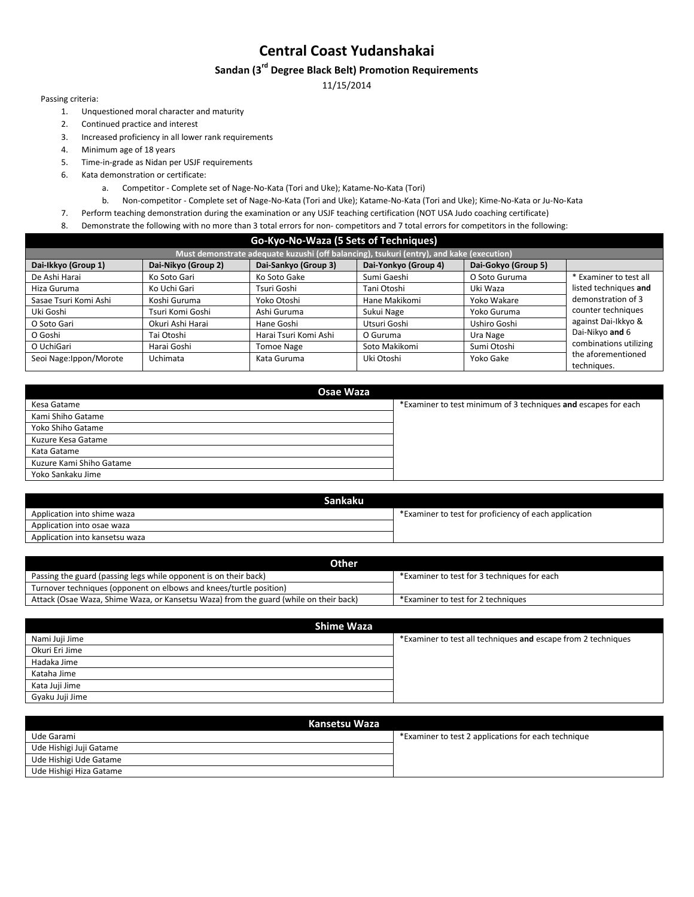### **Sandan (3rd Degree Black Belt) Promotion Requirements**

11/15/2014

- 1. Unquestioned moral character and maturity
- 2. Continued practice and interest
- 3. Increased proficiency in all lower rank requirements
- 4. Minimum age of 18 years
- 5. Time-in-grade as Nidan per USJF requirements
- 6. Kata demonstration or certificate:
	- a. Competitor Complete set of Nage-No-Kata (Tori and Uke); Katame-No-Kata (Tori)
	- b. Non-competitor Complete set of Nage-No-Kata (Tori and Uke); Katame-No-Kata (Tori and Uke); Kime-No-Kata or Ju-No-Kata
- 7. Perform teaching demonstration during the examination or any USJF teaching certification (NOT USA Judo coaching certificate)
- 8. Demonstrate the following with no more than 3 total errors for non- competitors and 7 total errors for competitors in the following:

|  |  | Go-Kyo-No-Waza (5 Sets of Techniques) |  |  |  |  |  |  |
|--|--|---------------------------------------|--|--|--|--|--|--|
|  |  |                                       |  |  |  |  |  |  |

| Must demonstrate adequate kuzushi (off balancing), tsukuri (entry), and kake (execution) |                     |                                                                                        |                                        |                                                                       |                                                                                                              |  |
|------------------------------------------------------------------------------------------|---------------------|----------------------------------------------------------------------------------------|----------------------------------------|-----------------------------------------------------------------------|--------------------------------------------------------------------------------------------------------------|--|
| Dai-Ikkyo (Group 1)                                                                      | Dai-Nikyo (Group 2) | Dai-Sankyo (Group 3)                                                                   | Dai-Yonkyo (Group 4)                   | Dai-Gokyo (Group 5)                                                   |                                                                                                              |  |
| De Ashi Harai                                                                            | Ko Soto Gari        | Ko Soto Gake                                                                           | Sumi Gaeshi                            | O Soto Guruma                                                         | * Examiner to test all                                                                                       |  |
| Hiza Guruma                                                                              | Ko Uchi Gari        | Tsuri Goshi                                                                            | Tani Otoshi                            | Uki Waza                                                              | listed techniques and                                                                                        |  |
| Sasae Tsuri Komi Ashi                                                                    | Koshi Guruma        | Yoko Otoshi<br>Ashi Guruma<br>Hane Goshi<br>Harai Tsuri Komi Ashi<br><b>Tomoe Nage</b> | Hane Makikomi                          | Yoko Wakare<br>Yoko Guruma<br>Ushiro Goshi<br>Ura Nage<br>Sumi Otoshi | demonstration of 3<br>counter techniques<br>against Dai-Ikkyo &<br>Dai-Nikyo and 6<br>combinations utilizing |  |
| Uki Goshi                                                                                | Tsuri Komi Goshi    |                                                                                        | Sukui Nage<br>Utsuri Goshi<br>O Guruma |                                                                       |                                                                                                              |  |
| O Soto Gari                                                                              | Okuri Ashi Harai    |                                                                                        |                                        |                                                                       |                                                                                                              |  |
| O Goshi                                                                                  | Tai Otoshi          |                                                                                        |                                        |                                                                       |                                                                                                              |  |
| O UchiGari                                                                               | Harai Goshi         |                                                                                        | Soto Makikomi                          |                                                                       |                                                                                                              |  |
| Seoi Nage: Ippon/Morote                                                                  | Uchimata            | Kata Guruma                                                                            | Uki Otoshi                             | Yoko Gake                                                             | the aforementioned<br>techniques.                                                                            |  |

| Osae Waza                |                                                                |
|--------------------------|----------------------------------------------------------------|
| Kesa Gatame              | *Examiner to test minimum of 3 techniques and escapes for each |
| Kami Shiho Gatame        |                                                                |
| Yoko Shiho Gatame        |                                                                |
| Kuzure Kesa Gatame       |                                                                |
| Kata Gatame              |                                                                |
| Kuzure Kami Shiho Gatame |                                                                |
| Yoko Sankaku Jime        |                                                                |
|                          |                                                                |

| Sankaku                        |                                                       |
|--------------------------------|-------------------------------------------------------|
| Application into shime waza    | *Examiner to test for proficiency of each application |
| Application into osae waza     |                                                       |
| Application into kansetsu waza |                                                       |

| Other                                                                                 |                                             |
|---------------------------------------------------------------------------------------|---------------------------------------------|
| Passing the guard (passing legs while opponent is on their back)                      | *Examiner to test for 3 techniques for each |
| Turnover techniques (opponent on elbows and knees/turtle position)                    |                                             |
| Attack (Osae Waza, Shime Waza, or Kansetsu Waza) from the guard (while on their back) | *Examiner to test for 2 techniques          |
|                                                                                       |                                             |

| Shime Waza      |                                                               |
|-----------------|---------------------------------------------------------------|
| Nami Juji Jime  | *Examiner to test all techniques and escape from 2 techniques |
| Okuri Eri Jime  |                                                               |
| Hadaka Jime     |                                                               |
| Kataha Jime     |                                                               |
| Kata Juji Jime  |                                                               |
| Gyaku Juji Jime |                                                               |

| Kansetsu Waza           |                                                     |
|-------------------------|-----------------------------------------------------|
| Ude Garami              | *Examiner to test 2 applications for each technique |
| Ude Hishigi Juji Gatame |                                                     |
| Ude Hishigi Ude Gatame  |                                                     |
| Ude Hishigi Hiza Gatame |                                                     |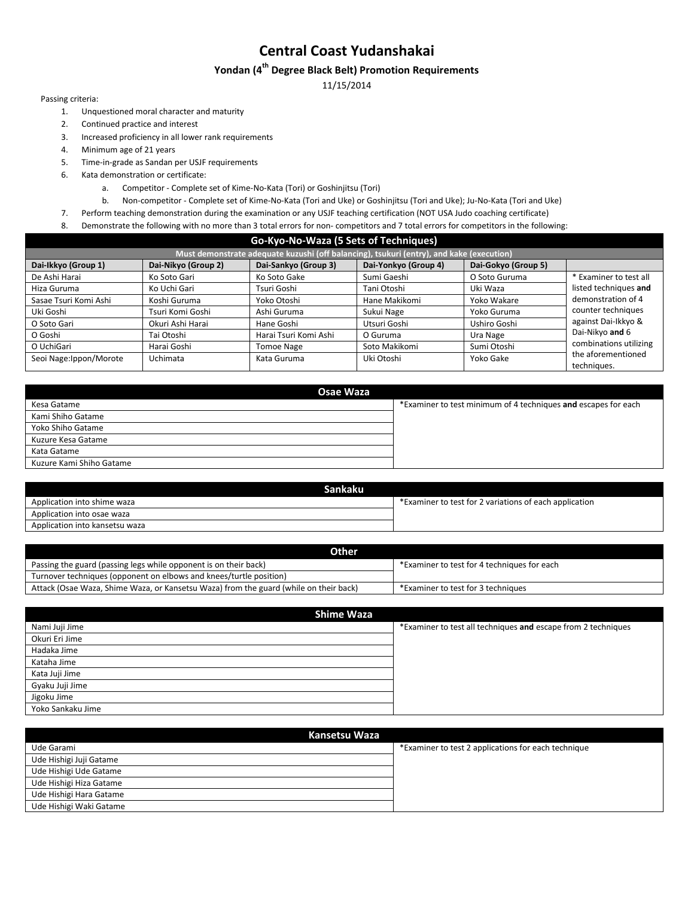### **Yondan (4 th Degree Black Belt) Promotion Requirements**

11/15/2014

- 1. Unquestioned moral character and maturity
- 2. Continued practice and interest
- 3. Increased proficiency in all lower rank requirements
- 4. Minimum age of 21 years
- 5. Time-in-grade as Sandan per USJF requirements
- 6. Kata demonstration or certificate:
	- a. Competitor Complete set of Kime-No-Kata (Tori) or Goshinjitsu (Tori)
	- b. Non-competitor Complete set of Kime-No-Kata (Tori and Uke) or Goshinjitsu (Tori and Uke); Ju-No-Kata (Tori and Uke)
- 7. Perform teaching demonstration during the examination or any USJF teaching certification (NOT USA Judo coaching certificate)
- 8. Demonstrate the following with no more than 3 total errors for non- competitors and 7 total errors for competitors in the following:

| Must demonstrate adequate kuzushi (off balancing), tsukuri (entry), and kake (execution) |                     |                       |                      |                     |                                   |  |  |  |
|------------------------------------------------------------------------------------------|---------------------|-----------------------|----------------------|---------------------|-----------------------------------|--|--|--|
| Dai-Ikkyo (Group 1)                                                                      | Dai-Nikyo (Group 2) | Dai-Sankyo (Group 3)  | Dai-Yonkyo (Group 4) | Dai-Gokyo (Group 5) |                                   |  |  |  |
| De Ashi Harai                                                                            | Ko Soto Gari        | Ko Soto Gake          | Sumi Gaeshi          | O Soto Guruma       | * Examiner to test all            |  |  |  |
| Hiza Guruma                                                                              | Ko Uchi Gari        | Tsuri Goshi           | Tani Otoshi          | Uki Waza            | listed techniques and             |  |  |  |
| Sasae Tsuri Komi Ashi                                                                    | Koshi Guruma        | Yoko Otoshi           | Hane Makikomi        | Yoko Wakare         | demonstration of 4                |  |  |  |
| Uki Goshi                                                                                | Tsuri Komi Goshi    | Ashi Guruma           | Sukui Nage           | Yoko Guruma         | counter techniques                |  |  |  |
| O Soto Gari                                                                              | Okuri Ashi Harai    | Hane Goshi            | Utsuri Goshi         | Ushiro Goshi        | against Dai-Ikkyo &               |  |  |  |
| O Goshi                                                                                  | Tai Otoshi          | Harai Tsuri Komi Ashi | O Guruma             | Ura Nage            | Dai-Nikyo and 6                   |  |  |  |
| O UchiGari                                                                               | Harai Goshi         | Tomoe Nage            | Soto Makikomi        | Sumi Otoshi         | combinations utilizing            |  |  |  |
| Seoi Nage: Ippon/Morote                                                                  | Uchimata            | Kata Guruma           | Uki Otoshi           | Yoko Gake           | the aforementioned<br>techniques. |  |  |  |

| Osae Waza                |                                                                |
|--------------------------|----------------------------------------------------------------|
| Kesa Gatame              | *Examiner to test minimum of 4 techniques and escapes for each |
| Kami Shiho Gatame        |                                                                |
| Yoko Shiho Gatame        |                                                                |
| Kuzure Kesa Gatame       |                                                                |
| Kata Gatame              |                                                                |
| Kuzure Kami Shiho Gatame |                                                                |
|                          |                                                                |

| *Examiner to test for 2 variations of each application |
|--------------------------------------------------------|
|                                                        |
|                                                        |
|                                                        |

| *Examiner to test for 4 techniques for each |
|---------------------------------------------|
|                                             |
| *Examiner to test for 3 techniques          |
|                                             |

| <b>Shime Waza</b> |                                                               |
|-------------------|---------------------------------------------------------------|
| Nami Juji Jime    | *Examiner to test all techniques and escape from 2 techniques |
| Okuri Eri Jime    |                                                               |
| Hadaka Jime       |                                                               |
| Kataha Jime       |                                                               |
| Kata Juji Jime    |                                                               |
| Gyaku Juji Jime   |                                                               |
| Jigoku Jime       |                                                               |
| Yoko Sankaku Jime |                                                               |

| Kansetsu Waza           |                                                     |
|-------------------------|-----------------------------------------------------|
| Ude Garami              | *Examiner to test 2 applications for each technique |
| Ude Hishigi Juji Gatame |                                                     |
| Ude Hishigi Ude Gatame  |                                                     |
| Ude Hishigi Hiza Gatame |                                                     |
| Ude Hishigi Hara Gatame |                                                     |
| Ude Hishigi Waki Gatame |                                                     |